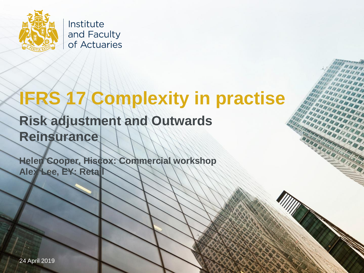

Institute and Faculty of Actuaries

# **IFRS 17 Complexity in practise**

EFFE

IER HEI

IELE E NARA<br>RAMA

### **Risk adjustment and Outwards Reinsurance**

**Helen Cooper, Hiscox: Commercial workshop Alex Lee, EY: Retail** 

24 April 2019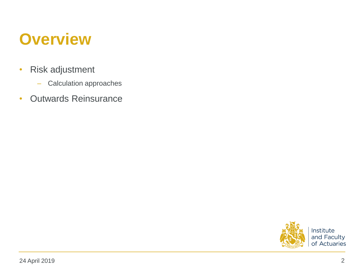### **Overview**

- Risk adjustment
	- Calculation approaches
- Outwards Reinsurance

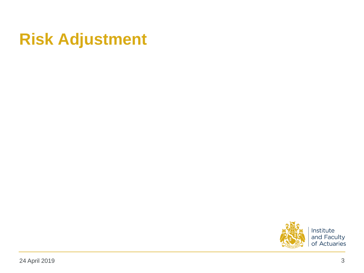## **Risk Adjustment**

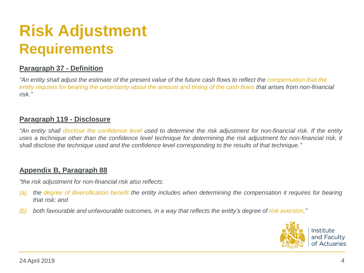## **Risk Adjustment Requirements**

### **Paragraph 37 - Definition**

*"An entity shall adjust the estimate of the present value of the future cash flows to reflect the compensation that the entity requires for bearing the uncertainty about the amount and timing of the cash flows that arises from non-financial risk."*

#### **Paragraph 119 - Disclosure**

"An entity shall disclose the confidence level used to determine the risk adjustment for non-financial risk. If the entity uses a technique other than the confidence level technique for determining the risk adjustment for non-financial risk, it *shall disclose the technique used and the confidence level corresponding to the results of that technique."*

#### **Appendix B, Paragraph 88**

*"the risk adjustment for non-financial risk also reflects:*

- (a) the degree of diversification benefit the entity includes when determining the compensation it requires for bearing *that risk; and*
- (b) both favourable and unfavourable outcomes, in a way that reflects the entity's degree of risk aversion."

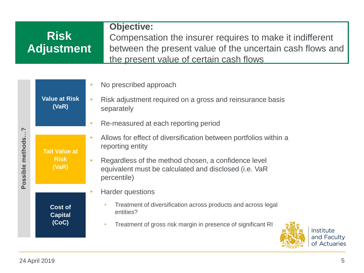### **Objective:**

#### **aggregatio n/** 11130 **contracts Risk Adjustment**

**Level of** 

Compensation the insurer requires to make it indifferent between the present value of the uncertain cash flows and the present value of certain cash flows

| $\sim$<br>methods.<br>Possible | <b>Value at Risk</b><br>(VaR)                | $\bullet$ | No prescribed approach                                                                                                      |
|--------------------------------|----------------------------------------------|-----------|-----------------------------------------------------------------------------------------------------------------------------|
|                                |                                              | $\bullet$ | Risk adjustment required on a gross and reinsurance basis<br>separately                                                     |
|                                |                                              | $\bullet$ | Re-measured at each reporting period                                                                                        |
|                                | <b>Tail Value at</b><br><b>Risk</b><br>(VaR) | $\bullet$ | Allows for effect of diversification between portfolios within a<br>reporting entity                                        |
|                                |                                              | $\bullet$ | Regardless of the method chosen, a confidence level<br>equivalent must be calculated and disclosed (i.e. VaR<br>percentile) |
|                                |                                              | $\bullet$ | <b>Harder questions</b>                                                                                                     |
|                                | <b>Cost of</b><br><b>Capital</b><br>(CoC)    |           | Treatment of diversification across products and across legal<br>$\bullet$<br>entities?                                     |
|                                |                                              |           | Treatment of gross risk margin in presence of significant RI<br>$\bullet$                                                   |

Institute and Faculty of Actuaries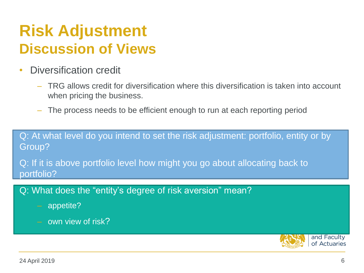### **Risk Adjustment Discussion of Views**

- Diversification credit
	- TRG allows credit for diversification where this diversification is taken into account when pricing the business.
	- The process needs to be efficient enough to run at each reporting period

Q: At what level do you intend to set the risk adjustment: portfolio, entity or by Group?

Q: If it is above portfolio level how might you go about allocating back to portfolio?

### Q: What does the "entity's degree of risk aversion" mean?

- appetite?
- own view of risk?

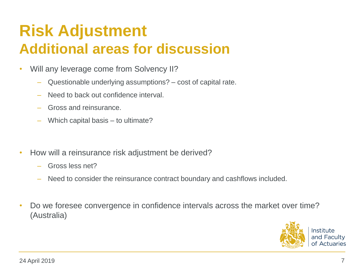### **Risk Adjustment Additional areas for discussion**

- Will any leverage come from Solvency II?
	- Questionable underlying assumptions? cost of capital rate.
	- Need to back out confidence interval.
	- Gross and reinsurance.
	- Which capital basis to ultimate?
- How will a reinsurance risk adjustment be derived?
	- Gross less net?
	- Need to consider the reinsurance contract boundary and cashflows included.
- Do we foresee convergence in confidence intervals across the market over time? (Australia)

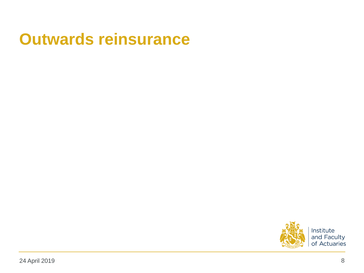### **Outwards reinsurance**

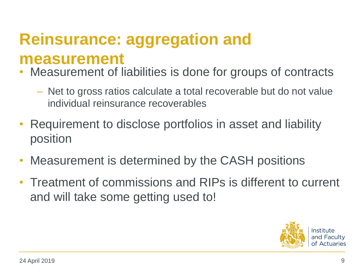## **Reinsurance: aggregation and measurement**

- Measurement of liabilities is done for groups of contracts
	- Net to gross ratios calculate a total recoverable but do not value individual reinsurance recoverables
- Requirement to disclose portfolios in asset and liability position
- Measurement is determined by the CASH positions
- Treatment of commissions and RIPs is different to current and will take some getting used to!

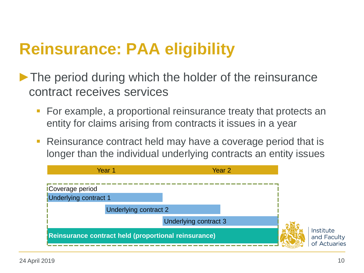## **Reinsurance: PAA eligibility**

- ► The period during which the holder of the reinsurance contract receives services
	- **For example, a proportional reinsurance treaty that protects an** entity for claims arising from contracts it issues in a year
	- **Reinsurance contract held may have a coverage period that is** longer than the individual underlying contracts an entity issues

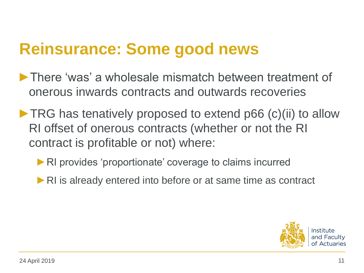## **Reinsurance: Some good news**

- ►There 'was' a wholesale mismatch between treatment of onerous inwards contracts and outwards recoveries
- ▶ TRG has tenatively proposed to extend p66 (c)(ii) to allow RI offset of onerous contracts (whether or not the RI contract is profitable or not) where:
	- ▶ RI provides 'proportionate' coverage to claims incurred
	- ►RI is already entered into before or at same time as contract

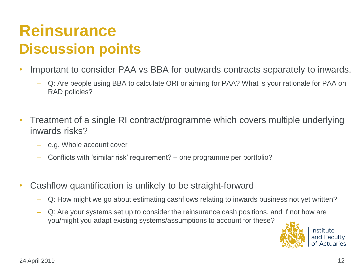## **Reinsurance Discussion points**

- Important to consider PAA vs BBA for outwards contracts separately to inwards.
	- Q: Are people using BBA to calculate ORI or aiming for PAA? What is your rationale for PAA on RAD policies?
- Treatment of a single RI contract/programme which covers multiple underlying inwards risks?
	- e.g. Whole account cover
	- Conflicts with 'similar risk' requirement? one programme per portfolio?
- Cashflow quantification is unlikely to be straight-forward
	- Q: How might we go about estimating cashflows relating to inwards business not yet written?
	- Q: Are your systems set up to consider the reinsurance cash positions, and if not how are you/might you adapt existing systems/assumptions to account for these?